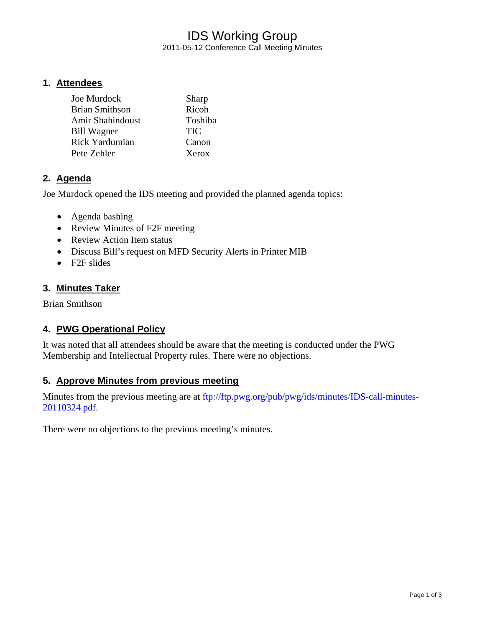# IDS Working Group 2011-05-12 Conference Call Meeting Minutes

#### **1. Attendees**

| Sharp      |
|------------|
| Ricoh      |
| Toshiba    |
| <b>TIC</b> |
| Canon      |
| Xerox      |
|            |

## **2. Agenda**

Joe Murdock opened the IDS meeting and provided the planned agenda topics:

- Agenda bashing
- Review Minutes of F2F meeting
- Review Action Item status
- Discuss Bill's request on MFD Security Alerts in Printer MIB
- F2F slides

#### **3. Minutes Taker**

Brian Smithson

## **4. PWG Operational Policy**

It was noted that all attendees should be aware that the meeting is conducted under the PWG Membership and Intellectual Property rules. There were no objections.

## **5. Approve Minutes from previous meeting**

Minutes from the previous meeting are at ftp://ftp.pwg.org/pub/pwg/ids/minutes/IDS-call-minutes-20110324.pdf.

There were no objections to the previous meeting's minutes.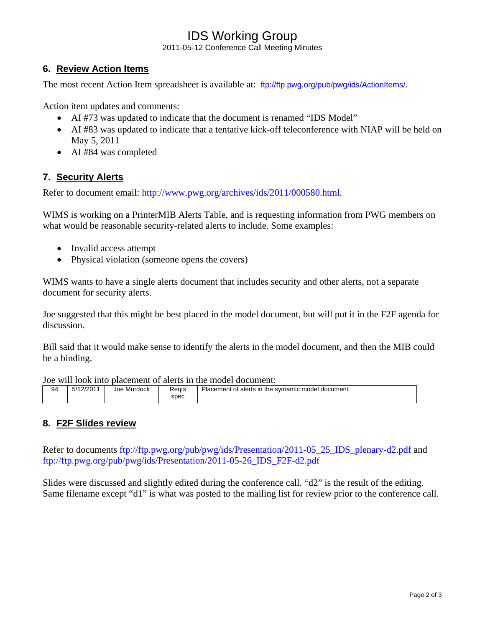# IDS Working Group

2011-05-12 Conference Call Meeting Minutes

# **6. Review Action Items**

The most recent Action Item spreadsheet is available at: ftp://ftp.pwg.org/pub/pwg/ids/ActionItems/.

Action item updates and comments:

- AI #73 was updated to indicate that the document is renamed "IDS Model"
- AI #83 was updated to indicate that a tentative kick-off teleconference with NIAP will be held on May 5, 2011
- AI #84 was completed

## **7. Security Alerts**

Refer to document email: http://www.pwg.org/archives/ids/2011/000580.html.

WIMS is working on a PrinterMIB Alerts Table, and is requesting information from PWG members on what would be reasonable security-related alerts to include. Some examples:

- Invalid access attempt
- Physical violation (someone opens the covers)

WIMS wants to have a single alerts document that includes security and other alerts, not a separate document for security alerts.

Joe suggested that this might be best placed in the model document, but will put it in the F2F agenda for discussion.

Bill said that it would make sense to identify the alerts in the model document, and then the MIB could be a binding.

Joe will look into placement of alerts in the model document:

| 94 | 5/12/2011 | Joe Murdock | Reats<br>spec | Placement of alerts in the symantic model document |
|----|-----------|-------------|---------------|----------------------------------------------------|

## **8. F2F Slides review**

Refer to documents ftp://ftp.pwg.org/pub/pwg/ids/Presentation/2011-05\_25\_IDS\_plenary-d2.pdf and ftp://ftp.pwg.org/pub/pwg/ids/Presentation/2011-05-26\_IDS\_F2F-d2.pdf

Slides were discussed and slightly edited during the conference call. "d2" is the result of the editing. Same filename except "d1" is what was posted to the mailing list for review prior to the conference call.